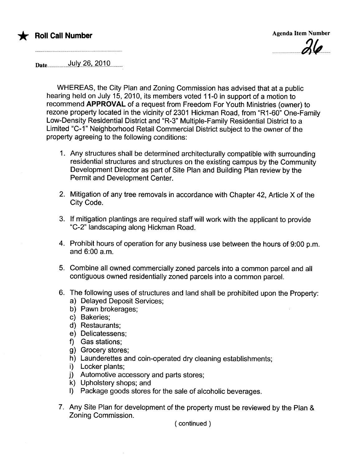

 $21a$  $\overline{\phantom{a}}$ 

Date......................~.lJ.!.Y..?§,....?.QJ.Q.............

WHEREAS, the City Plan and Zoning Commission has advised that at a public hearing held on July 15, 2010, its members voted 11-0 in support of a motion to recommend APPROVAL of a request from Freedom For Youth Ministries (owner) to rezone property located in the vicinity of 2301 Hickman Road, from "R1-60" One-Family Low-Density Residential District and "R-3" Multiple-Family Residential District to a Limited "C-1" Neighborhood Retail Commercial District subject to the owner of the property agreeing to the following conditions:

- 1. Any structures shall be determined architecturally compatible with surrounding residential structures and structures on the existing campus by the Community Development Director as part of Site Plan and Building Plan review by the Permit and Development Center.
- 2. Mitigation of any tree removals in accordance with Chapter 42, Article X of the City Code.
- 3. If mitigation plantings are required staff will work with the applicant to provide "C-2" landscaping along Hickman Road.
- 4. Prohibit hours of operation for any business use between the hours of 9:00 p.m. and 6:00 a.m.
- 5. Combine all owned commercially zoned parcels into a common parcel and all contiguous owned residentially zoned parcels into a common parceL.
- 6. The following uses of structures and land shall be prohibited upon the Property:
	- a) Delayed Deposit Services;
	- b) Pawn brokerages;
	- c) Bakeries;
	- d) Restaurants;
	- e) Delicatessens;
	- f) Gas stations;
	- g) Grocery stores;
	- h) Launderettes and coin-operated dry cleaning establishments;
	- i) Locker plants;
	- j) Automotive accessory and parts stores;
	- k) Upholstery shops; and
	- I) Package goods stores for the sale of alcoholic beverages.
- 7. Any Site Plan for development of the property must be reviewed by the Plan & Zoning Commission.

( continued )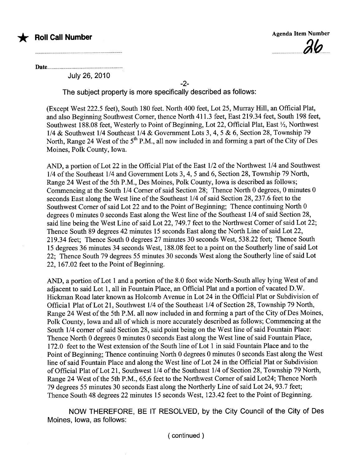

Date.

July 26,2010

-2-

The subject property is more specifically described as follows:

(Except West 222.5 feet), South 180 feet. North 400 feet, Lot 25, Murray Hil, an Offcial Plat, and also Beginning Southwest Comer, thence North 411.3 feet, East 219.34 feet, South 198 feet, Southwest 188.08 feet, Westerly to Point of Beginning, Lot 22, Official Plat, East  $\frac{1}{2}$ , Northwest 1/4 & Southwest 1/4 Southeast 1/4 & Government Lots 3, 4,5 & 6, Section 28, Township 79 North, Range 24 West of the 5<sup>th</sup> P.M., all now included in and forming a part of the City of Des Moines, Polk County, Iowa.

AND, a portion of Lot 22 in the Official Plat of the East  $1/2$  of the Northwest  $1/4$  and Southwest 1/4 ofthe Southeast 1/4 and Government Lots 3, 4, 5 and 6, Section 28, Township 79 North, Range 24 West of the 5th P.M., Des Moines, Polk County, Iowa is described as follows; Commencing at the South 1/4 Comer of said Section 28; Thence North 0 degrees, 0 minutes 0 seconds East along the West line of the Southeast 1/4 of said Section 28, 237.6 feet to the Southwest Comer of said Lot 22 and to the Point of Beginning; Thence continuing North 0 degrees 0 minutes 0 seconds East along the West line of the Southeast 1/4 of said Section 28, said line being the West Line of said Lot 22, 749.7 feet to the Northwest Comer of said Lot 22; Thence South 89 degrees 42 minutes 15 seconds East along the North Line of said Lot 22, 219.34 feet; Thence South 0 degrees 27 minutes 30 seconds West, 538.22 feet; Thence South 15 degrees 36 minutes 34 seconds West, 188.08 feet to a point on the Southerly line of said Lot 22; Thence South 79 degrees 55 minutes 30 seconds West along the Southerly line of said Lot 22, 167.02 feet to the Point of Beginning.

AND, a portion of Lot 1 and a portion of the 8.0 foot wide North-South alley lying West of and adjacent to said Lot 1, all in Fountain Place, an Offcial Plat and a portion of vacated D.W. Hickman Road later known as Holcomb Avenue in Lot 24 in the Official Plat or Subdivision of Official Plat of Lot 21, Southwest 1/4 of the Southeast 1/4 of Section 28, Township 79 North, Range 24 West of the 5th P.M. all now included in and forming a part of the City of Des Moines, Polk County, Iowa and all of which is more accurately described as follows; Commencing at the South 1/4 comer of said Section 28, said point being on the West line of said Fountain Place: Thence North 0 degrees 0 minutes 0 seconds East along the West line of said Fountain Place, 172.0 feet to the West extension of the South line of Lot 1 in said Fountain Place and to the Point of Beginning; Thence continuing North 0 degrees 0 minutes 0 seconds East along the West line of said Fountain Place and along the West line of Lot 24 in the Official Plat or Subdivision of Official Plat of Lot 21, Southwest 1/4 of the Southeast 1/4 of Section 28, Township 79 North, Range 24 West of the 5th P.M., 65,6 feet to the Northwest Comer of said Lot24; Thence North 79 degrees 55 minutes 30 seconds East along the Northerly Line of said Lot 24,93.7 feet; Thence South 48 degrees 22 minutes 15 seconds West, 123.42 feet to the Point of Beginning.

NOW THEREFORE, BE IT RESOLVED, by the City Council of the City of Des Moines, Iowa, as follows:

( continued)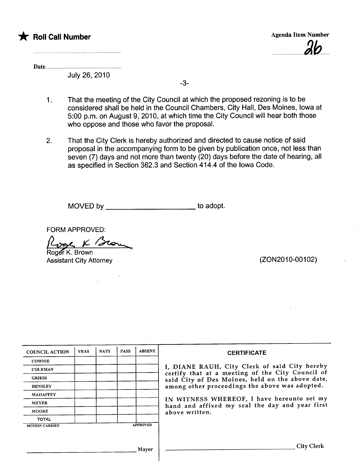

Date

July 26, 2010

-3-

- 1. That the meeting of the City Council at which the proposed rezoning is to be considered shall be held in the Council Chambers, City Hall, Des Moines, Iowa at 5:00 p.m. on August 9, 2010, at which time the City Council will hear both those who oppose and those who favor the proposal.
- 2. That the City Clerk is hereby authorized and directed to cause notice of said proposal in the accompanying form to be given by publication once, not less than seven (7) days and not more than twenty (20) days before the date of hearing, all as specified in Section 362.3 and Section 414.4 of the Iowa Code.

MOVED by \_\_\_\_\_\_\_\_\_\_\_\_\_\_\_\_\_\_\_\_\_\_\_\_\_\_ to adopt.

FORM APPROVED:

Roger K Brow<br>Roger K. Brown

 $\label{eq:2} \frac{1}{2} \int_{\mathbb{R}^3} \left| \frac{d\mathbf{y}}{d\mathbf{y}} \right| \, d\mathbf{y} \, d\mathbf{y} \, d\mathbf{y} \, d\mathbf{y} \, d\mathbf{y} \, d\mathbf{y} \, d\mathbf{y} \, d\mathbf{y} \, d\mathbf{y} \, d\mathbf{y} \, d\mathbf{y} \, d\mathbf{y} \, d\mathbf{y} \, d\mathbf{y} \, d\mathbf{y} \, d\mathbf{y} \, d\mathbf{y} \, d\mathbf{y} \, d\mathbf{y$ 

Assistant City Attorney (2002010-00102)

| <b>COUNCIL ACTION</b> | <b>YEAS</b> | <b>NAYS</b> | <b>PASS</b> | <b>ABSENT</b>   | <b>CERTIFICATE</b>                                                                                |
|-----------------------|-------------|-------------|-------------|-----------------|---------------------------------------------------------------------------------------------------|
| <b>COWNIE</b>         |             |             |             |                 |                                                                                                   |
| <b>COLEMAN</b>        |             |             |             |                 | I, DIANE RAUH, City Clerk of said City hereby<br>certify that at a meeting of the City Council of |
| <b>GRIESS</b>         |             |             |             |                 | said City of Des Moines, held on the above date,                                                  |
| <b>HENSLEY</b>        |             |             |             |                 | among other proceedings the above was adopted.                                                    |
| <b>MAHAFFEY</b>       |             |             |             |                 |                                                                                                   |
| <b>MEYER</b>          |             |             |             |                 | IN WITNESS WHEREOF, I have hereunto set my<br>hand and affixed my seal the day and year first     |
| <b>MOORE</b>          |             |             |             |                 | above written.                                                                                    |
| <b>TOTAL</b>          |             |             |             |                 |                                                                                                   |
| <b>MOTION CARRIED</b> |             |             |             | <b>APPROVED</b> |                                                                                                   |
|                       |             |             |             |                 |                                                                                                   |
|                       |             |             |             | Mayor           | City Clerk                                                                                        |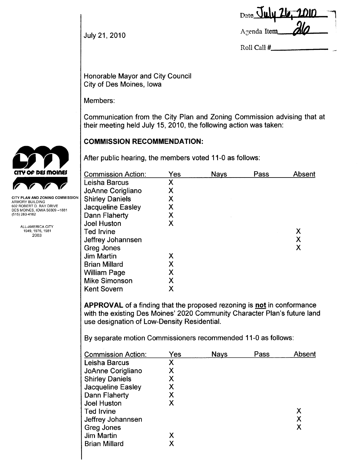| Date July 26. 2010 |     |
|--------------------|-----|
|                    |     |
| Agenda Item        | ala |

July 21,2010

Roll Call #

Honorable Mayor and City Council City of Des Moines, Iowa

Members:

Communication from the City Plan and Zoning Commission advising that at their meeting held July 15, 2010, the following action was taken:

# COMMISSION RECOMMENDATION:

After public hearing, the members voted 11-0 as follows:

| <b>Commission Action:</b> | Yes | <b>Nays</b> | Pass | Absent |
|---------------------------|-----|-------------|------|--------|
| Leisha Barcus             | Χ   |             |      |        |
| JoAnne Corigliano         | Χ   |             |      |        |
| <b>Shirley Daniels</b>    | Χ   |             |      |        |
| <b>Jacqueline Easley</b>  | Χ   |             |      |        |
| Dann Flaherty             | Χ   |             |      |        |
| <b>Joel Huston</b>        | Χ   |             |      |        |
| <b>Ted Irvine</b>         |     |             |      | Χ      |
| Jeffrey Johannsen         |     |             |      | X      |
| Greg Jones                |     |             |      | X      |
| <b>Jim Martin</b>         | Х   |             |      |        |
| <b>Brian Millard</b>      | Χ   |             |      |        |
| <b>William Page</b>       | Χ   |             |      |        |
| <b>Mike Simonson</b>      | Χ   |             |      |        |
| <b>Kent Sovern</b>        | Χ   |             |      |        |
|                           |     |             |      |        |

APPROVAL of a finding that the proposed rezoning is not in conformance with the existing Des Moines' 2020 Community Character Plan's future land use designation of Low-Density ResidentiaL.

By separate motion Commissioners recommended 11-0 as follows:

| <b>Commission Action:</b> | Yes | <b>Nays</b> | Pass | Absent |
|---------------------------|-----|-------------|------|--------|
| Leisha Barcus             | Χ   |             |      |        |
| JoAnne Corigliano         | X   |             |      |        |
| <b>Shirley Daniels</b>    | Χ   |             |      |        |
| Jacqueline Easley         | Χ   |             |      |        |
| Dann Flaherty             | Χ   |             |      |        |
| <b>Joel Huston</b>        | Х   |             |      |        |
| <b>Ted Irvine</b>         |     |             |      | Χ      |
| Jeffrey Johannsen         |     |             |      | Х      |
| Greg Jones                |     |             |      | X      |
| Jim Martin                | Χ   |             |      |        |
| <b>Brian Millard</b>      | Χ   |             |      |        |
|                           |     |             |      |        |



CITY PLAN AND ZONING COMMISSION ARMORY BUILDING 602 ROBERT D. RAY DRIVE DES MOINES, IOWA 50309-1881 (515) 283-4182

> ALL-AMERICA CITY 1949,1976,1981 2003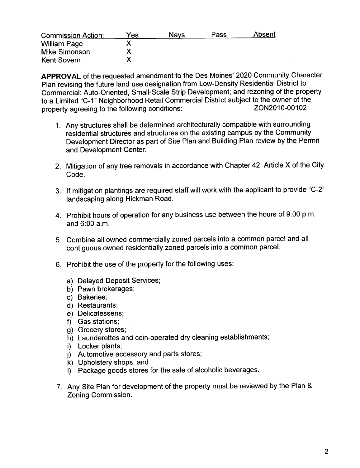| <b>Commission Action:</b> | Yes | Navs | Pass | Absent |
|---------------------------|-----|------|------|--------|
| <b>William Page</b>       |     |      |      |        |
| <b>Mike Simonson</b>      |     |      |      |        |
| <b>Kent Sovern</b>        |     |      |      |        |

APPROVAL of the requested amendment to the Des Moines' 2020 Community Character Plan revising the future land use designation from Low-Density Residential District to Commercial: Auto-Oriented, Small-Scale Strip Development; and rezoning of the property to a Limited "C-1" Neighborhood Retail Commercial District subject to the owner of the<br>20010102 TON2010-00102 property agreeing to the following conditions:

- 1. Any structures shall be determined architecturally compatible with surrounding residential structures and structures on the existing campus by the Community Development Director as part of Site Plan and Building Plan review by the Permit and Development Center.
- 2. Mitigation of any tree removals in accordance with Chapter 42, Article X of the City Code.
- 3. If mitigation plantings are required staff wil work with the applicant to provide "C-2" landscaping along Hickman Road.
- 4. Prohibit hours of operation for any business use between the hours of 9:00 p.m. and 6:00 a.m.
- 5. Combine all owned commercially zoned parcels into a common parcel and all contiguous owned residentially zoned parcels into a common parceL.
- 6. Prohibit the use of the property for the following uses:
	- a) Delayed Deposit Services;
	- b) Pawn brokerages;
	- c) Bakeries;
	- d) Restaurants;
	- e) Delicatessens;
	- f) Gas stations;
	- g) Grocery stores;
	- h) Launderettes and coin-operated dry cleaning establishments;
	- i) Locker plants;
	- j) Automotive accessory and parts stores;
	- k) Upholstery shops; and
	- I) Package goods stores for the sale of alcoholic beverages.
- 7. Any Site Plan for development of the property must be reviewed by the Plan & Zoning Commission.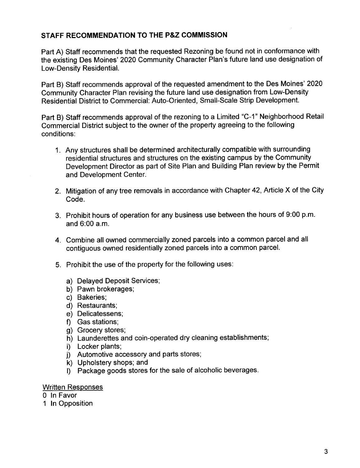# STAFF RECOMMENDATION TO THE P&Z COMMISSION

Part A) Staff recommends that the requested Rezoning be found not in conformance with the existing Des Moines' 2020 Community Character Plan's future land use designation of Low-Density ResidentiaL.

Part B) Staff recommends approval of the requested amendment to the Des Moines' 2020 Community Character Plan revising the future land use designation from Low-Density Residential District to Commercial: Auto-Oriented, Small-Scale Strip Development.

Part B) Staff recommends approval of the rezoning to a Limited "C-1" Neighborhood Retail Commercial District subject to the owner of the property agreeing to the following conditions:

- 1. Any structures shall be determined architecturally compatible with surrounding residential structures and structures on the existing campus by the Community Development Director as part of Site Plan and Building Plan review by the Permit and Development Center.
- 2. Mitigation of any tree removals in accordance with Chapter 42, Article X of the City Code.
- 3. Prohibit hours of operation for any business use between the hours of 9:00 p.m. and 6:00 a.m.
- 4. Combine all owned commercially zoned parcels into a common parcel and all contiguous owned residentially zoned parcels into a common parceL.
- 5. Prohibit the use of the property for the following uses:
	- a) Delayed Deposit Services;
	- b) Pawn brokerages;
	- c) Bakeries;
	- d) Restaurants;
	- e) Delicatessens;
	- f) Gas stations;
	- g) Grocery stores;
	- h) Launderettes and coin-operated dry cleaning establishments;
	- i) Locker plants;
	- j) Automotive accessory and parts stores;
	- k) Upholstery shops; and
	- I) Package goods stores for the sale of alcoholic beverages.

#### Written Responses

- o In Favor
- 1 In Opposition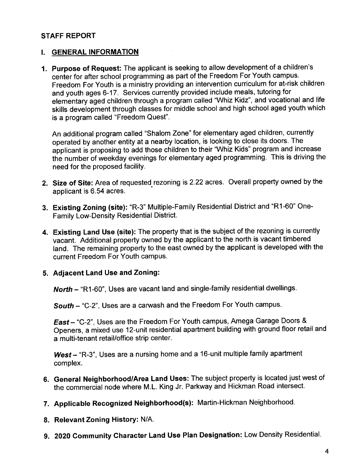### STAFF REPORT

#### i. GENERAL INFORMATION

1. Purpose of Request: The applicant is seeking to allow development of a children's center for after school programming as part of the Freedom For Youth campus. Freedom For Youth is a ministry providing an intervention curriculum for at-risk children and youth ages 6-17. Services currently provided include meals, tutoring for elementary aged children through a program called "Whiz Kidz", and vocational and life skills development through classes for middle school and high school aged youth which is a program called "Freedom Quest".

An additional program called "Shalom Zone" for elementary aged children, currently operated by another entity at a nearby location, is looking to close its doors. The applicant is proposing to add those children to their "Whiz Kids" program and increase the number of weekday evenings for elementary aged programming. This is driving the need for the proposed facilty.

- 2. Size of Site: Area of requested rezoning is 2.22 acres. Overall property owned by the applicant is 6.54 acres.
- 3. Existing Zoning (site): "R-3" Multiple-Family Residential District and "R1-60" One-Family Low-Density Residential District.
- 4. Existing Land Use (site): The property that is the subject of the rezoning is currently vacant. Additional property owned by the applicant to the north is vacant timbered land. The remaining property to the east owned by the applicant is developed with the current Freedom For Youth campus.

#### 5. Adjacent Land Use and Zoning:

North - "R1-60", Uses are vacant land and single-family residential dwellings.

South - "C-2", Uses are a carwash and the Freedom For Youth campus.

East - "C-2", Uses are the Freedom For Youth campus, Amega Garage Doors & Openers, a mixed use 12-unit residential apartment building with ground floor retail and a multi-tenant retail/office strip center.

 $West - "R-3"$ , Uses are a nursing home and a 16-unit multiple family apartment complex.

- 6. General Neighborhood/Area Land Uses: The subject property is located just west of the commercial node where M.L. King Jr. Parkway and Hickman Road intersect.
- 7. Applicable Recognized Neighborhood(s): Martin-Hickman Neighborhood.
- 8. Relevant Zoning History: N/A.
- 9. 2020 Community Character Land Use Plan Designation: Low Density ResidentiaL.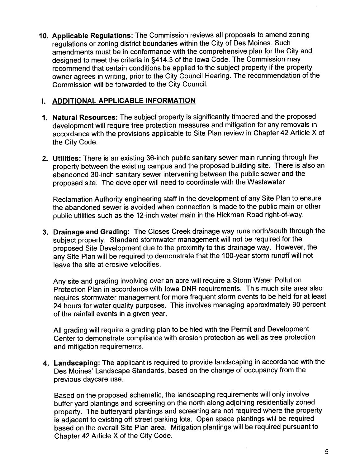10. Applicable Regulations: The Commission reviews all proposals to amend zoning regulations or zoning district boundaries within the City of Des Moines. Such amendments must be in conformance with the comprehensive plan for the City and designed to meet the criteria in §414.3 of the Iowa Code. The Commission may recommend that certain conditions be applied to the subject property if the property owner agrees in writing, prior to the City Council Hearing. The recommendation of the Commission wil be forwarded to the City CounciL.

### I. ADDITIONAL APPLICABLE INFORMATION

- 1. Natural Resources: The subject property is significantly timbered and the proposed development will require tree protection measures and mitigation for any removals in accordance with the provisions applicable to Site Plan review in Chapter 42 Article X of the City Code.
- 2. Utilties: There is an existing 36-inch public sanitary sewer main running through the property between the existing campus and the proposed building site. There is also an abandoned 30-inch sanitary sewer intervening between the public sewer and the proposed site. The developer will need to coordinate with the Wastewater

Reclamation Authority engineering staff in the development of any Site Plan to ensure the abandoned sewer is avoided when connection is made to the public main or other public utilities such as the 12-inch water main in the Hickman Road right-of-way.

3. Drainage and Grading: The Closes Creek drainage way runs north/south through the subject property. Standard stormwater management will not be required for the proposed Site Development due to the proximity to this drainage way. However, the any Site Plan will be required to demonstrate that the 1 OO-year storm runoff will not leave the site at erosive velocities.

Any site and grading involving over an acre will require a Storm Water Pollution Protection Plan in accordance with Iowa DNR requirements. This much site area also requires stormwater management for more frequent storm events to be held for at least 24 hours for water quality purposes. This involves managing approximately 90 percent of the rainfall events in a given year.

All grading will require a grading plan to be filed with the Permit and Development Center to demonstrate compliance with erosion protection as well as tree protection and mitigation requirements.

4. Landscaping: The applicant is required to provide landscaping in accordance with the Des Moines' Landscape Standards, based on the change of occupancy from the previous daycare use.

Based on the proposed schematic, the landscaping requirements will only involve buffer yard plantings and screening on the north along adjoining residentially zoned property. The bufferyard plantings and screening are not required where the property is adjacent to existing off-street parking lots. Open space plantings will be required based on the overall Site Plan area. Mitigation plantings will be required pursuant to Chapter 42 Article X of the City Code.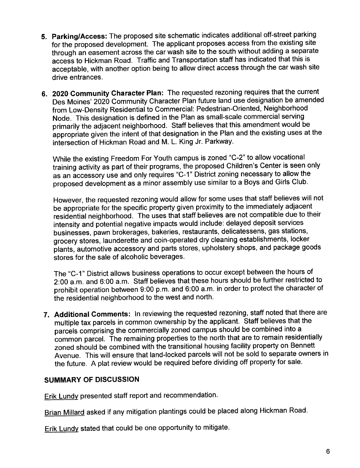- 5. Parking/Access: The proposed site schematic indicates additional off-street parking for the proposed development. The applicant proposes access from the existing site through an easement across the car wash site to the south without adding a separate access to Hickman Road. Traffic and Transportation staff has indicated that this is acceptable, with another option being to allow direct access through the car wash site drive entrances.
- 6. 2020 Community Character Plan: The requested rezoning requires that the current Des Moines' 2020 Community Character Plan future land use designation be amended from Low-Density Residential to Commercial: Pedestrian-Oriented, Neighborhood Node. This designation is defined in the Plan as small-scale commercial serving primarily the adjacent neighborhood. Staff believes that this amendment would be appropriate given the intent of that designation in the Plan and the existing uses at the intersection of Hickman Road and M. L. King Jr. Parkway.

While the existing Freedom For Youth campus is zoned "C-2" to allow vocational training activity as part of their programs, the proposed Children's Center is seen only as an accessory use and only requires "C-1" District zoning necessary to allow the proposed development as a minor assembly use similar to a Boys and Girls Club.

However, the requested rezoning would allow for some uses that staff believes will not be appropriate for the specific property given proximity to the immediately adjacent residential neighborhood. The uses that staff believes are not compatible due to their intensity and potential negative impacts would include: delayed deposit services businesses, pawn brokerages, bakeries, restaurants, delicatessens, gas stations, grocery stores, launderette and coin-operated dry cleaning establishments, locker plants, automotive accessory and parts stores, upholstery shops, and package goods stores for the sale of alcoholic beverages.

The "C-1" District allows business operations to occur except between the hours of 2:00 a.m. and 6:00 a.m. Staff believes that these hours should be further restricted to prohibit operation between 9:00 p.m. and 6:00 a.m. in order to protect the character of the residential neighborhood to the west and north.

7. Additional Comments: In reviewing the requested rezoning, staff noted that there are multiple tax parcels in common ownership by the applicant. Staff believes that the parcels comprising the commercially zoned campus should be combined into a common parceL. The remaining properties to the north that are to remain residentially zoned should be combined with the transitional housing facility property on Bennett Avenue. This will ensure that land-locked parcels will not be sold to separate owners in the future. A plat review would be required before dividing off property for sale.

# SUMMARY OF DISCUSSION

Erik Lundy presented staff report and recommendation.

Brian Millard asked if any mitigation plantings could be placed along Hickman Road.

Erik Lundy stated that could be one opportunity to mitigate.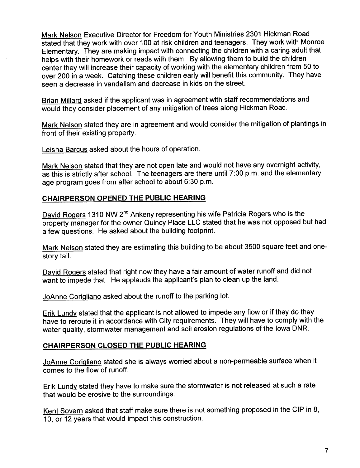Mark Nelson Executive Director for Freedom for Youth Ministries 2301 Hickman Road stated that they work with over 100 at risk children and teenagers. They work with Monroe Elementary. They are making impact with connecting the children with a caring adult that helps with their homework or reads with them. By allowing them to build the children center they will increase their capacity of working with the elementary children from 50 to over 200 in a week. Catching these children early wil benefit this community. They have seen a decrease in vandalism and decrease in kids on the street.

Brian Millard asked if the applicant was in agreement with staff recommendations and would they consider placement of any mitigation of trees along Hickman Road.

Mark Nelson stated they are in agreement and would consider the mitigation of plantings in front of their existing property.

Leisha Barcus asked about the hours of operation.

Mark Nelson stated that they are not open late and would not have any overnight activity, as this is strictly after school. The teenagers are there until 7:00 p.m. and the elementary age program goes from after school to about 6:30 p.m.

#### CHAIRPERSON OPENED THE PUBLIC HEARING

David Rogers 1310 NW 2<sup>nd</sup> Ankeny representing his wife Patricia Rogers who is the property manager for the owner Quincy Place LLC stated that he was not opposed but had a few questions. He asked about the building footprint.

Mark Nelson stated they are estimating this building to be about 3500 square feet and onestory talL.

David Roqers stated that right now they have a fair amount of water runoff and did not want to impede that. He applauds the applicant's plan to clean up the land.

JoAnne Coriqliano asked about the runoff to the parking lot.

Erik Lundv stated that the applicant is not allowed to impede any flow or if they do they have to reroute it in accordance with City requirements. They will have to comply with the water quality, stormwater management and soil erosion regulations of the Iowa DNR.

#### CHAIRPERSON CLOSED THE PUBLIC HEARING

JoAnne Coriqliano stated she is always worried about a non-permeable surface when it comes to the flow of runoff.

Erik Lundy stated they have to make sure the stormwater is not released at such a rate that would be erosive to the surroundings.

Kent Sovern asked that staff make sure there is not something proposed in the CIP in 8, 10, or 12 years that would impact this construction.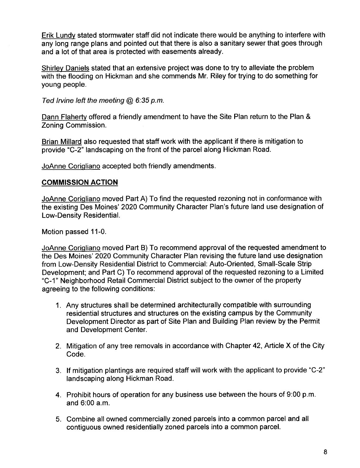Erik Lundv stated stormwater staff did not indicate there would be anything to interfere with any long range plans and pointed out that there is also a sanitary sewer that goes through and a lot of that area is protected with easements already.

Shirlev Daniels stated that an extensive project was done to try to alleviate the problem with the flooding on Hickman and she commends Mr. Riley for trying to do something for young people.

Ted Irvine left the meeting  $@6:35$  p.m.

Dann Flahertv offered a friendly amendment to have the Site Plan return to the Plan & Zoning Commission.

Brian Millard also requested that staff work with the applicant if there is mitigation to provide "C-2" landscaping on the front of the parcel along Hickman Road.

JoAnne Coriqliano accepted both friendly amendments.

# COMMISSION ACTION

JoAnne Coriqliano moved Part A) To find the requested rezoning not in conformance with the existing Des Moines' 2020 Community Character Plan's future land use designation of Low-Density ResidentiaL.

Motion passed 11-0.

JoAnne Coriqliano moved Part B) To recommend approval of the requested amendment to the Des Moines' 2020 Community Character Plan revising the future land use designation from Low-Density Residential District to Commercial: Auto-Oriented, Small-Scale Strip Development; and Part C) To recommend approval of the requested rezoning to a Limited "C-1" Neighborhood Retail Commercial District subject to the owner of the property agreeing to the following conditions:

- 1. Any structures shall be determined architecturally compatible with surrounding residential structures and structures on the existing campus by the Community Development Director as part of Site Plan and Building Plan review by the Permit and Development Center.
- 2. Mitigation of any tree removals in accordance with Chapter 42, Article X of the City Code.
- 3. If mitigation plantings are required staff will work with the applicant to provide "C\_2" landscaping along Hickman Road.
- 4. Prohibit hours of operation for any business use between the hours of 9:00 p.m. and 6:00 a.m.
- 5. Combine all owned commercially zoned parcels into a common parcel and all contiguous owned residentially zoned parcels into a common parceL.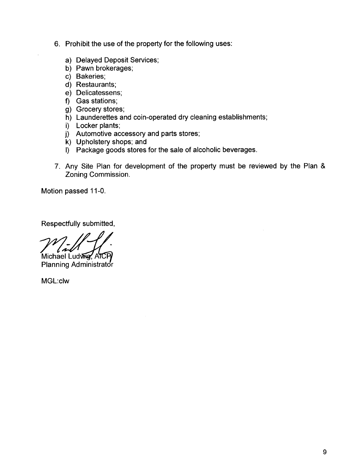- 6. Prohibit the use of the property for the following uses:
	- a) Delayed Deposit Services;
	- b) Pawn brokerages;
	- c) Bakeries;
	- d) Restaurants;
	- e) Delicatessens;
	- f) Gas stations;
	- g) Grocery stores;
	- h) Launderettes and coin-operated dry cleaning establishments;
	- i) Locker plants;
	- j) Automotive accessory and parts stores;
	- k) Upholstery shops; and
	- I) Package goods stores for the sale of alcoholic beverages.
- 7. Any Site Plan for development of the property must be reviewed by the Plan & Zoning Commission.

Motion passed 11-0.

Respectfully submitted,

Michael Ludwig, AICP Planning Administrator

MGL:clw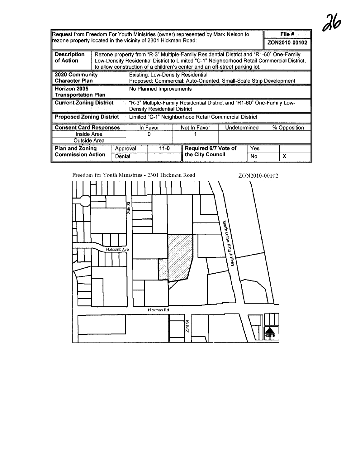| Request from Freedom For Youth Ministries (owner) represented by Mark Nelson to<br>rezone property located in the vicinity of 2301 Hickman Road: |                    |                                                                                                                                                                                                                                                                     |                                                                                                                |          |              |                                          | File #<br>ZON2010-00102 |           |              |   |
|--------------------------------------------------------------------------------------------------------------------------------------------------|--------------------|---------------------------------------------------------------------------------------------------------------------------------------------------------------------------------------------------------------------------------------------------------------------|----------------------------------------------------------------------------------------------------------------|----------|--------------|------------------------------------------|-------------------------|-----------|--------------|---|
| <b>Description</b><br>of Action                                                                                                                  |                    | Rezone property from "R-3" Multiple-Family Residential District and "R1-60" One-Family<br>Low-Density Residential District to Limited "C-1" Neighborhood Retail Commercial District,<br>to allow construction of a children's center and an off-street parking lot. |                                                                                                                |          |              |                                          |                         |           |              |   |
| 2020 Community<br><b>Character Plan</b>                                                                                                          |                    |                                                                                                                                                                                                                                                                     | <b>Existing: Low-Density Residential</b><br>Proposed: Commercial: Auto-Oriented, Small-Scale Strip Development |          |              |                                          |                         |           |              |   |
| Horizon 2035<br><b>Transportation Plan</b>                                                                                                       |                    |                                                                                                                                                                                                                                                                     | No Planned Improvements                                                                                        |          |              |                                          |                         |           |              |   |
| <b>Current Zoning District</b>                                                                                                                   |                    |                                                                                                                                                                                                                                                                     | "R-3" Multiple-Family Residential District and "R1-60" One-Family Low-<br><b>Density Residential District</b>  |          |              |                                          |                         |           |              |   |
| <b>Proposed Zoning District</b>                                                                                                                  |                    |                                                                                                                                                                                                                                                                     | Limited "C-1" Neighborhood Retail Commercial District                                                          |          |              |                                          |                         |           |              |   |
| <b>Consent Card Responses</b><br>Inside Area<br>Outside Area                                                                                     |                    |                                                                                                                                                                                                                                                                     | In Favor                                                                                                       |          | Not In Favor | Undetermined                             |                         |           | % Opposition |   |
| <b>Plan and Zoning</b><br><b>Commission Action</b>                                                                                               | Approval<br>Denial |                                                                                                                                                                                                                                                                     |                                                                                                                | $11 - 0$ |              | Required 6/7 Vote of<br>the City Council |                         | Yes<br>No |              | X |

Freedom for Youth Ministries - 2301 Hickman Road



# $26$

 $\ddot{\phantom{a}}$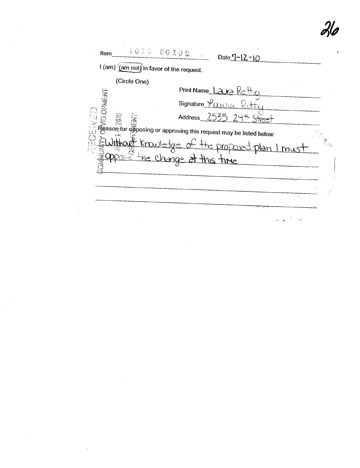$$010$ 00102 Item Date 7-12-10  $1$  (am)  $\frac{1}{2}$  (am not) in favor of the request. (Circle One) Signature Vaura Petty<br>
Signature Vaura Petty<br>
Signature Vaura Petty<br>
Signature Vaura Petty<br>
Signature Vaura Petty<br>
Signature Vaura Petty<br>
Signature Vaura Petty<br>
Signature Vaura Petty<br>
Signature Vaura Petty<br>
Signature Vaura Print Name Lawa Rettice the proposed plan I must ange at this time